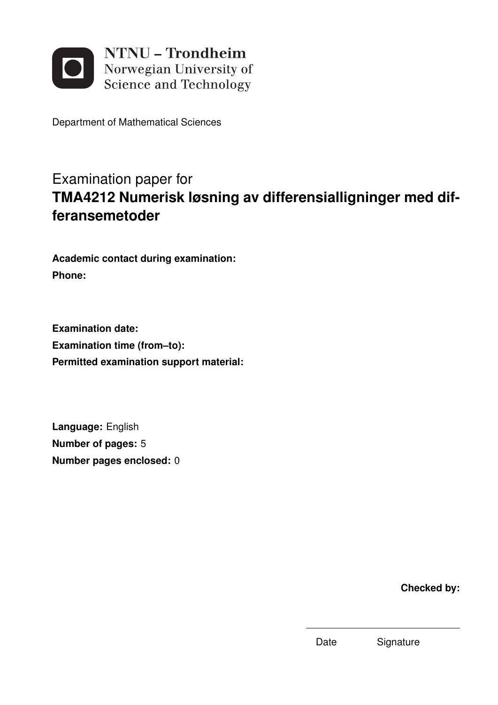

Department of Mathematical Sciences

## Examination paper for **TMA4212 Numerisk løsning av differensialligninger med differansemetoder**

**Academic contact during examination: Phone:**

**Examination date: Examination time (from–to): Permitted examination support material:**

**Language:** English **Number of pages:** 5 **Number pages enclosed:** 0

**Checked by:**

Date Signature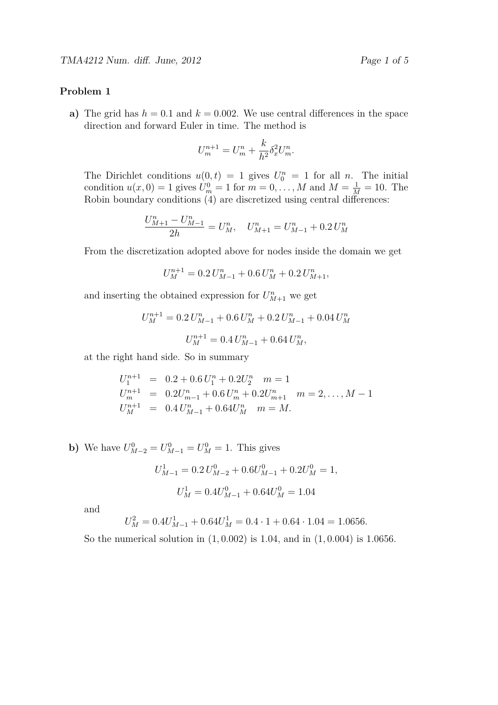## **Problem 1**

**a**) The grid has  $h = 0.1$  and  $k = 0.002$ . We use central differences in the space direction and forward Euler in time. The method is

$$
U_m^{n+1} = U_m^n + \frac{k}{h^2} \delta_x^2 U_m^n.
$$

The Dirichlet conditions  $u(0,t) = 1$  gives  $U_0^n = 1$  for all *n*. The initial condition  $u(x, 0) = 1$  gives  $U_m^0 = 1$  for  $m = 0, ..., M$  and  $M = \frac{1}{M} = 10$ . The Robin boundary conditions (4) are discretized using central differences:

$$
\frac{U_{M+1}^n - U_{M-1}^n}{2h} = U_M^n, \quad U_{M+1}^n = U_{M-1}^n + 0.2 U_M^n
$$

From the discretization adopted above for nodes inside the domain we get

$$
U_M^{n+1} = 0.2 U_{M-1}^n + 0.6 U_M^n + 0.2 U_{M+1}^n,
$$

and inserting the obtained expression for  $U_{M+1}^n$  we get

$$
U_M^{n+1} = 0.2 U_{M-1}^n + 0.6 U_M^n + 0.2 U_{M-1}^n + 0.04 U_M^n
$$
  

$$
U_M^{n+1} = 0.4 U_{M-1}^n + 0.64 U_M^n,
$$

at the right hand side. So in summary

$$
U_1^{n+1} = 0.2 + 0.6 U_1^n + 0.2 U_2^n \quad m = 1
$$
  
\n
$$
U_m^{n+1} = 0.2 U_{m-1}^n + 0.6 U_m^n + 0.2 U_{m+1}^n \quad m = 2, ..., M - 1
$$
  
\n
$$
U_M^{n+1} = 0.4 U_{M-1}^n + 0.64 U_M^n \quad m = M.
$$

**b**) We have  $U_{M-2}^0 = U_{M-1}^0 = U_M^0 = 1$ . This gives

$$
U_{M-1}^1 = 0.2 U_{M-2}^0 + 0.6 U_{M-1}^0 + 0.2 U_M^0 = 1,
$$
  

$$
U_M^1 = 0.4 U_{M-1}^0 + 0.64 U_M^0 = 1.04
$$

and

$$
U_M^2 = 0.4U_{M-1}^1 + 0.64U_M^1 = 0.4 \cdot 1 + 0.64 \cdot 1.04 = 1.0656.
$$

So the numerical solution in (1*,* 0*.*002) is 1*.*04, and in (1*,* 0*.*004) is 1*.*0656.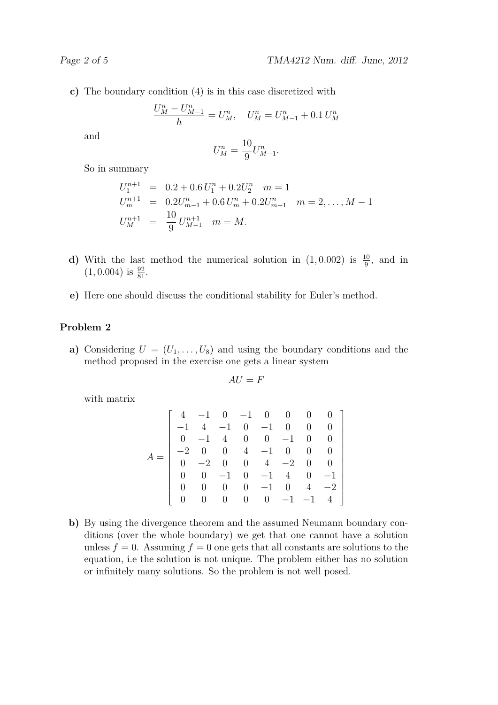**c)** The boundary condition (4) is in this case discretized with

$$
\frac{U_M^n - U_{M-1}^n}{h} = U_M^n, \quad U_M^n = U_{M-1}^n + 0.1 U_M^n
$$

and

$$
U_M^n = \frac{10}{9} U_{M-1}^n.
$$

So in summary

$$
U_1^{n+1} = 0.2 + 0.6 U_1^n + 0.2 U_2^n \quad m = 1
$$
  
\n
$$
U_m^{n+1} = 0.2 U_{m-1}^n + 0.6 U_m^n + 0.2 U_{m+1}^n \quad m = 2, ..., M - 1
$$
  
\n
$$
U_M^{n+1} = \frac{10}{9} U_{M-1}^{n+1} \quad m = M.
$$

- **d)** With the last method the numerical solution in  $(1, 0.002)$  is  $\frac{10}{9}$ , and in  $(1, 0.004)$  is  $\frac{92}{81}$ .
- **e)** Here one should discuss the conditional stability for Euler's method.

## **Problem 2**

**a)** Considering  $U = (U_1, \ldots, U_8)$  and using the boundary conditions and the method proposed in the exercise one gets a linear system

$$
AU = F
$$

with matrix

$$
A = \begin{bmatrix} 4 & -1 & 0 & -1 & 0 & 0 & 0 & 0 \\ -1 & 4 & -1 & 0 & -1 & 0 & 0 & 0 \\ 0 & -1 & 4 & 0 & 0 & -1 & 0 & 0 \\ -2 & 0 & 0 & 4 & -1 & 0 & 0 & 0 \\ 0 & -2 & 0 & 0 & 4 & -2 & 0 & 0 \\ 0 & 0 & -1 & 0 & -1 & 4 & 0 & -1 \\ 0 & 0 & 0 & 0 & -1 & 0 & 4 & -2 \\ 0 & 0 & 0 & 0 & 0 & -1 & -1 & 4 \end{bmatrix}
$$

**b)** By using the divergence theorem and the assumed Neumann boundary conditions (over the whole boundary) we get that one cannot have a solution unless  $f = 0$ . Assuming  $f = 0$  one gets that all constants are solutions to the equation, i.e the solution is not unique. The problem either has no solution or infinitely many solutions. So the problem is not well posed.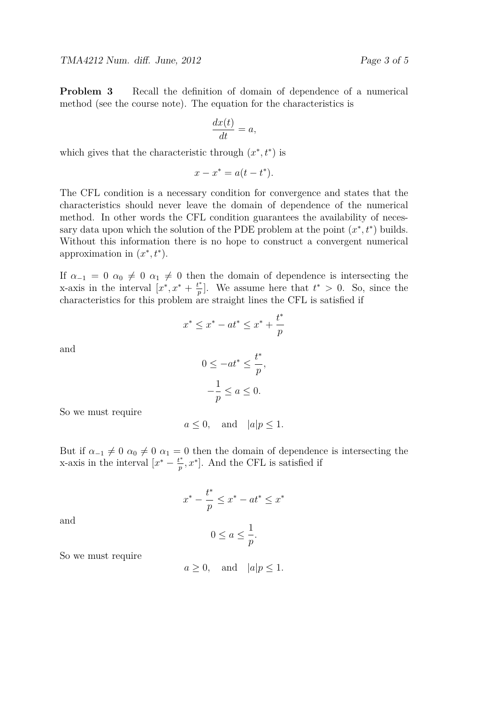**Problem 3** Recall the definition of domain of dependence of a numerical method (see the course note). The equation for the characteristics is

$$
\frac{dx(t)}{dt} = a,
$$

which gives that the characteristic through  $(x^*, t^*)$  is

$$
x - x^* = a(t - t^*).
$$

The CFL condition is a necessary condition for convergence and states that the characteristics should never leave the domain of dependence of the numerical method. In other words the CFL condition guarantees the availability of necessary data upon which the solution of the PDE problem at the point  $(x^*, t^*)$  builds. Without this information there is no hope to construct a convergent numerical approximation in  $(x^*, t^*)$ .

If  $\alpha_{-1} = 0$   $\alpha_0 \neq 0$   $\alpha_1 \neq 0$  then the domain of dependence is intersecting the x-axis in the interval  $[x^*, x^* + \frac{t^*}{n}]$  $\binom{t^*}{p}$ . We assume here that  $t^* > 0$ . So, since the characteristics for this problem are straight lines the CFL is satisfied if

$$
x^* \le x^* - at^* \le x^* + \frac{t^*}{p}
$$

and

and

$$
0 \le -at^* \le \frac{t^*}{p},
$$
  

$$
-\frac{1}{p} \le a \le 0.
$$

So we must require

$$
a \le 0
$$
, and  $|a|p \le 1$ .

But if  $\alpha_{-1} \neq 0$   $\alpha_0 \neq 0$   $\alpha_1 = 0$  then the domain of dependence is intersecting the x-axis in the interval  $[x^* - \frac{t^*}{n}]$  $\left[\frac{t^*}{p}, x^*\right]$ . And the CFL is satisfied if

> $x^* - \frac{t^*}{t}$ *p*  $\leq x^* - at^* \leq x^*$  $0 \le a \le \frac{1}{a}$ *p .*

So we must require

 $a \geq 0$ , and  $|a|p \leq 1$ .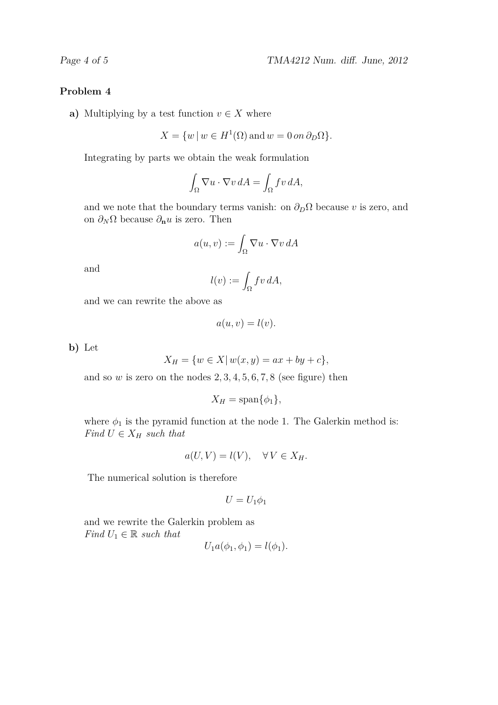## **Problem 4**

**a**) Multiplying by a test function  $v \in X$  where

$$
X = \{w \mid w \in H^{1}(\Omega) \text{ and } w = 0 \text{ on } \partial_{D}\Omega\}.
$$

Integrating by parts we obtain the weak formulation

$$
\int_{\Omega} \nabla u \cdot \nabla v \, dA = \int_{\Omega} f v \, dA,
$$

and we note that the boundary terms vanish: on  $\partial_D \Omega$  because *v* is zero, and on  $\partial_N \Omega$  because  $\partial_n u$  is zero. Then

$$
a(u, v) := \int_{\Omega} \nabla u \cdot \nabla v \, dA
$$

and

$$
l(v) := \int_{\Omega} fv \, dA,
$$

and we can rewrite the above as

$$
a(u, v) = l(v).
$$

**b)** Let

$$
X_H = \{ w \in X | w(x, y) = ax + by + c \},\
$$

and so  $w$  is zero on the nodes  $2, 3, 4, 5, 6, 7, 8$  (see figure) then

$$
X_H = \text{span}\{\phi_1\},\
$$

where  $\phi_1$  is the pyramid function at the node 1. The Galerkin method is: *Find*  $U \in X_H$  *such that* 

$$
a(U, V) = l(V), \quad \forall V \in X_H.
$$

The numerical solution is therefore

$$
U=U_1\phi_1
$$

and we rewrite the Galerkin problem as *Find*  $U_1 \in \mathbb{R}$  *such that* 

$$
U_1a(\phi_1,\phi_1)=l(\phi_1).
$$